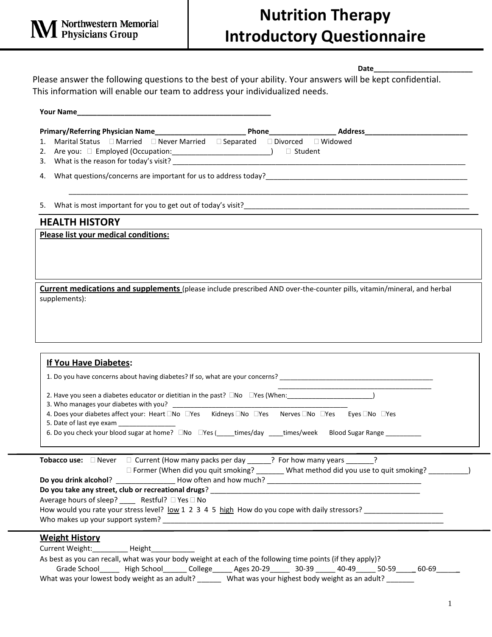## **Nutrition Therapy Introductory Questionnaire**

**Date\_\_\_\_\_\_\_\_\_\_\_\_\_\_\_\_\_\_\_\_\_\_\_\_\_**

Please answer the following questions to the best of your ability. Your answers will be kept confidential. This information will enable our team to address your individualized needs.

| Marital Status □ Married □ Never Married □ Separated □ Divorced □ Widowed<br>1.                                                                                                                                                                                                                                                                                                                                                       |
|---------------------------------------------------------------------------------------------------------------------------------------------------------------------------------------------------------------------------------------------------------------------------------------------------------------------------------------------------------------------------------------------------------------------------------------|
|                                                                                                                                                                                                                                                                                                                                                                                                                                       |
|                                                                                                                                                                                                                                                                                                                                                                                                                                       |
| <b>HEALTH HISTORY</b>                                                                                                                                                                                                                                                                                                                                                                                                                 |
| Please list your medical conditions:                                                                                                                                                                                                                                                                                                                                                                                                  |
| Current medications and supplements (please include prescribed AND over-the-counter pills, vitamin/mineral, and herbal<br>supplements):                                                                                                                                                                                                                                                                                               |
| If You Have Diabetes:                                                                                                                                                                                                                                                                                                                                                                                                                 |
|                                                                                                                                                                                                                                                                                                                                                                                                                                       |
| 4. Does your diabetes affect your: Heart $\square$ No $\square$ Yes Kidneys $\square$ No $\square$ Yes Nerves $\square$ No $\square$ Yes $\square$ Yes $\square$ Yes No $\square$ Yes<br>5. Date of last eye exam _______________                                                                                                                                                                                                     |
| 6. Do you check your blood sugar at home? $\square$ No $\square$ Yes ( times/day ___times/week Blood Sugar Range ________                                                                                                                                                                                                                                                                                                             |
| <b>Tobacco use:</b> $\Box$ Never $\Box$ Current (How many packs per day ______? For how many years ____<br>$\cdot$<br>□ Former (When did you quit smoking? _______ What method did you use to quit smoking? ___________)<br>Average hours of sleep? _____ Restful? □ Yes □ No<br>How would you rate your stress level? <u>low</u> 1 2 3 4 5 high How do you cope with daily stressors?                                                |
| <b>Weight History</b><br>Current Weight:___________ Height____________<br>As best as you can recall, what was your body weight at each of the following time points (if they apply)?<br>Grade School _______ High School ________ College ______ Ages 20-29 ______ 30-39 ______ 40-49 _____ 50-59 _____ 60-69 _______<br>What was your lowest body weight as an adult? _______ What was your highest body weight as an adult? _______ |